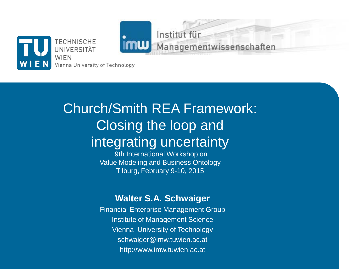

Church/Smith REA Framework: Closing the loop and integrating uncertainty

Institut für

Managementwissenschaften

9th International Workshop on Value Modeling and Business Ontology Tilburg, February 9-10, 2015

#### **Walter S.A. Schwaiger**

Financial Enterprise Management Group Institute of Management Science Vienna University of Technology schwaiger@imw.tuwien.ac.at http://www.imw.tuwien.ac.at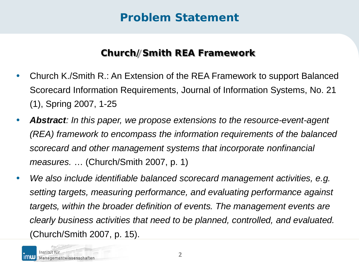### **Problem Statement**

#### **Church/Smith REA Framework**

- Church K./Smith R.: An Extension of the REA Framework to support Balanced Scorecard Information Requirements, Journal of Information Systems, No. 21 (1), Spring 2007, 1-25
- *Abstract: In this paper, we propose extensions to the resource-event-agent (REA) framework to encompass the information requirements of the balanced scorecard and other management systems that incorporate nonfinancial measures.* … (Church/Smith 2007, p. 1)
- *We also include identifiable balanced scorecard management activities, e.g. setting targets, measuring performance, and evaluating performance against targets, within the broader definition of events. The management events are clearly business activities that need to be planned, controlled, and evaluated.* (Church/Smith 2007, p. 15).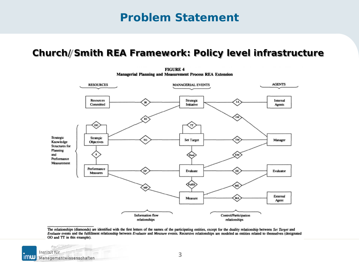### **Problem Statement**

#### **Church/Smith REA Framework: Policy level infrastructure**



**FIGURE 4 Managerial Planning and Measurement Process REA Extension** 

The relationships (diamonds) are identified with the first letters of the names of the participating entities, except for the duality relationship between Set Target and Evaluate events and the fulfillment relationship between Evaluate and Measure events. Recursive relationships are modeled as entities related to themselves (designated OO and TT in this example).

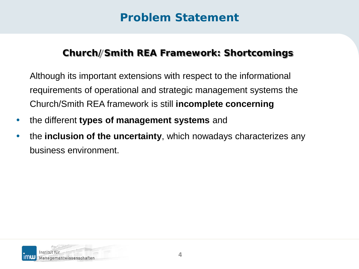## **Problem Statement**

#### **Church/Smith REA Framework: Shortcomings**

Although its important extensions with respect to the informational requirements of operational and strategic management systems the Church/Smith REA framework is still **incomplete concerning** 

- the different **types of management systems** and
- the **inclusion of the uncertainty**, which nowadays characterizes any business environment.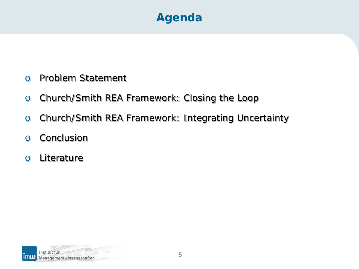## **Agenda**

- o Problem Statement
- o Church/Smith REA Framework: Closing the Loop
- o Church/Smith REA Framework: Integrating Uncertainty
- o Conclusion
- o Literature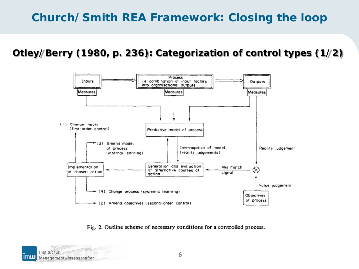**Otley/Berry (1980, p. 236): Categorization of control types (1/2)**



Fig. 2. Outline scheme of necessary conditions for a controlled process.

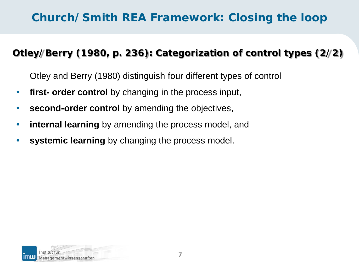#### **Otley/Berry (1980, p. 236): Categorization of control types (2/2)**

Otley and Berry (1980) distinguish four different types of control

- **first- order control** by changing in the process input,
- **second-order control** by amending the objectives,
- **internal learning** by amending the process model, and
- systemic learning by changing the process model.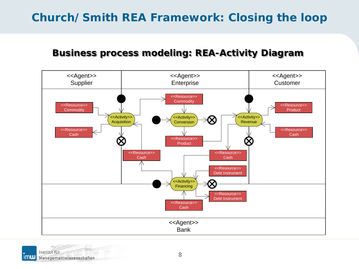#### **Business process modeling: REA-Activity Diagram**



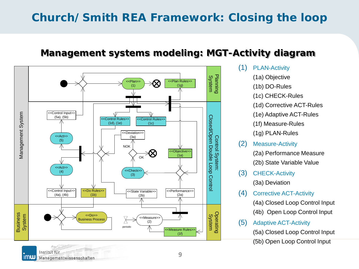#### **Management systems modeling: MGT-Activity diagram**



- (1) PLAN-Activity
	- (1a) Objective
	- (1b) DO-Rules
	- (1c) CHECK-Rules
	- (1d) Corrective ACT-Rules
	- (1e) Adaptive ACT-Rules
	- (1f) Measure-Rules

(1g) PLAN-Rules

- (2) Measure-Activity (2a) Performance Measure (2b) State Variable Value
- (3) CHECK-Activity (3a) Deviation
- (4) Corrective ACT-Activity (4a) Closed Loop Control Input (4b) Open Loop Control Input
- (5) Adaptive ACT-Activity

(5a) Closed Loop Control Input

(5b) Open Loop Control Input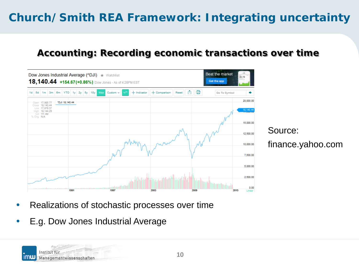#### **Accounting: Recording economic transactions over time**



- Realizations of stochastic processes over time
- E.g. Dow Jones Industrial Average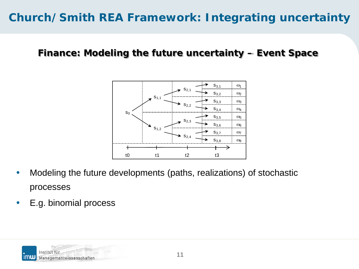#### **Finance: Modeling the future uncertainty – Event Space**



- Modeling the future developments (paths, realizations) of stochastic processes
- E.g. binomial process

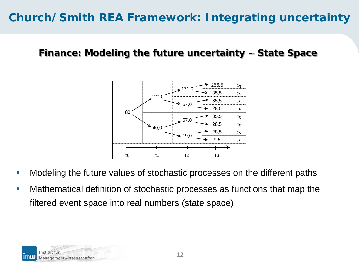#### **Finance: Modeling the future uncertainty – State Space**



- Modeling the future values of stochastic processes on the different paths
- Mathematical definition of stochastic processes as functions that map the filtered event space into real numbers (state space)

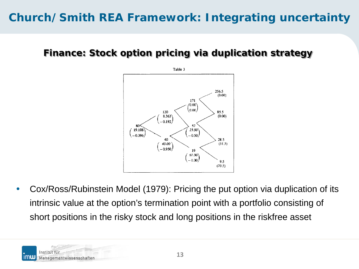#### **Finance: Stock option pricing via duplication strategy**



• Cox/Ross/Rubinstein Model (1979): Pricing the put option via duplication of its intrinsic value at the option's termination point with a portfolio consisting of short positions in the risky stock and long positions in the riskfree asset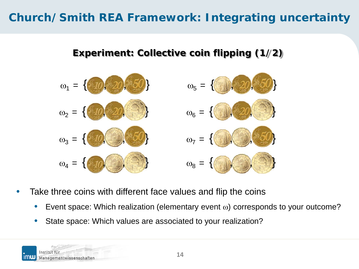#### **Experiment: Collective coin flipping (1/2)**



- Take three coins with different face values and flip the coins
	- Event space: Which realization (elementary event ω) corresponds to your outcome?
	- State space: Which values are associated to your realization?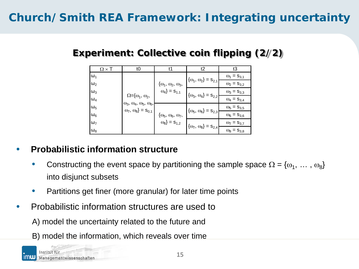#### **Experiment: Collective coin flipping (2/2)**

|            | t0                                                                                                                                      |                                                                        | t2                                 | t3                   |
|------------|-----------------------------------------------------------------------------------------------------------------------------------------|------------------------------------------------------------------------|------------------------------------|----------------------|
| $\omega_1$ | $\Omega = \{\omega_1, \omega_2,$<br>$\omega_3$ , $\omega_4$ , $\omega_5$ , $\omega_6$ ,<br>$\omega_7$ , $\omega_8$ } = S <sub>0,1</sub> | $\{\omega_1, \omega_2, \omega_3,$<br>$\omega_4$ } = S <sub>1,1</sub>   | $\{\omega_1, \omega_2\} = s_{2,1}$ | $\omega_1 = S_{3,1}$ |
| $\omega_2$ |                                                                                                                                         |                                                                        |                                    | $\omega_2 = s_{3,2}$ |
| $\omega_3$ |                                                                                                                                         |                                                                        | $\{\omega_3, \omega_4\} = s_{2,2}$ | $\omega_3 = S_{3,3}$ |
| $\omega_4$ |                                                                                                                                         |                                                                        |                                    | $\omega_4 = S_{3,4}$ |
| $\omega_5$ |                                                                                                                                         | $\{\omega_5, \omega_6, \omega_7,$<br>$\omega_8$ } = $\mathsf{s}_{1,2}$ | $\{\omega_5, \omega_6\} = s_{2,3}$ | $\omega_5 = S_{3,5}$ |
| $\omega_6$ |                                                                                                                                         |                                                                        |                                    | $\omega_6 = S_{3,6}$ |
| $\omega_7$ |                                                                                                                                         |                                                                        | $\{\omega_7, \omega_8\} = s_{2,4}$ | $\omega_7 = S_{3,7}$ |
| $\omega_8$ |                                                                                                                                         |                                                                        |                                    | $\omega_8 = S_{3,8}$ |

#### • **Probabilistic information structure**

- Constructing the event space by partitioning the sample space  $\Omega = \{\omega_1, \ldots, \omega_8\}$ into disjunct subsets
- Partitions get finer (more granular) for later time points
- Probabilistic information structures are used to
	- A) model the uncertainty related to the future and
	- B) model the information, which reveals over time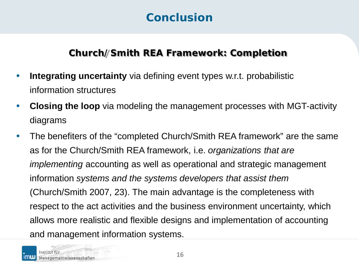### **Conclusion**

#### **Church/Smith REA Framework: Completion**

- **Integrating uncertainty** via defining event types w.r.t. probabilistic information structures
- **Closing the loop** via modeling the management processes with MGT-activity diagrams
- The benefiters of the "completed Church/Smith REA framework" are the same as for the Church/Smith REA framework, i.e. *organizations that are implementing* accounting as well as operational and strategic management information *systems and the systems developers that assist them* (Church/Smith 2007, 23). The main advantage is the completeness with respect to the act activities and the business environment uncertainty, which allows more realistic and flexible designs and implementation of accounting and management information systems.